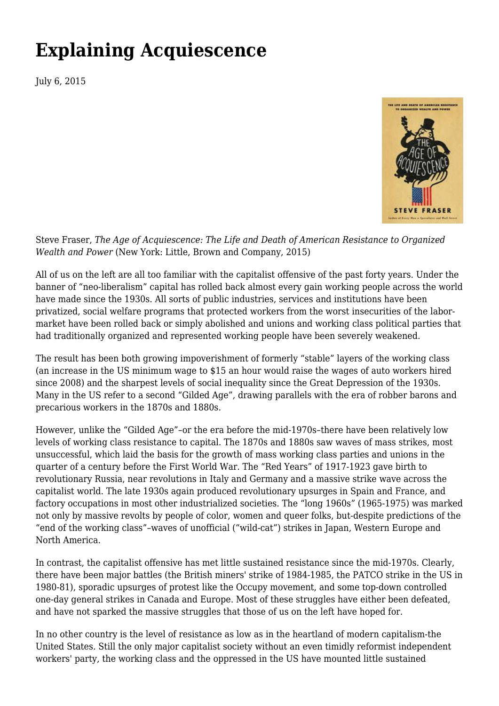## **[Explaining Acquiescence](https://newpol.org/explaining-acquiescence/)**

July 6, 2015



Steve Fraser, *The Age of Acquiescence: The Life and Death of American Resistance to Organized Wealth and Power* (New York: Little, Brown and Company, 2015)

All of us on the left are all too familiar with the capitalist offensive of the past forty years. Under the banner of "neo-liberalism" capital has rolled back almost every gain working people across the world have made since the 1930s. All sorts of public industries, services and institutions have been privatized, social welfare programs that protected workers from the worst insecurities of the labormarket have been rolled back or simply abolished and unions and working class political parties that had traditionally organized and represented working people have been severely weakened.

The result has been both growing impoverishment of formerly "stable" layers of the working class (an increase in the US minimum wage to \$15 an hour would raise the wages of auto workers hired since 2008) and the sharpest levels of social inequality since the Great Depression of the 1930s. Many in the US refer to a second "Gilded Age", drawing parallels with the era of robber barons and precarious workers in the 1870s and 1880s.

However, unlike the "Gilded Age"–or the era before the mid-1970s–there have been relatively low levels of working class resistance to capital. The 1870s and 1880s saw waves of mass strikes, most unsuccessful, which laid the basis for the growth of mass working class parties and unions in the quarter of a century before the First World War. The "Red Years" of 1917-1923 gave birth to revolutionary Russia, near revolutions in Italy and Germany and a massive strike wave across the capitalist world. The late 1930s again produced revolutionary upsurges in Spain and France, and factory occupations in most other industrialized societies. The "long 1960s" (1965-1975) was marked not only by massive revolts by people of color, women and queer folks, but-despite predictions of the "end of the working class"–waves of unofficial ("wild-cat") strikes in Japan, Western Europe and North America.

In contrast, the capitalist offensive has met little sustained resistance since the mid-1970s. Clearly, there have been major battles (the British miners' strike of 1984-1985, the PATCO strike in the US in 1980-81), sporadic upsurges of protest like the Occupy movement, and some top-down controlled one-day general strikes in Canada and Europe. Most of these struggles have either been defeated, and have not sparked the massive struggles that those of us on the left have hoped for.

In no other country is the level of resistance as low as in the heartland of modern capitalism-the United States. Still the only major capitalist society without an even timidly reformist independent workers' party, the working class and the oppressed in the US have mounted little sustained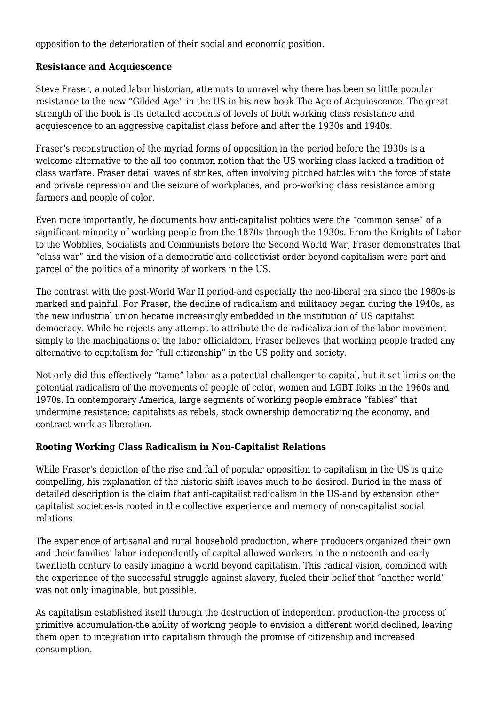opposition to the deterioration of their social and economic position.

## **Resistance and Acquiescence**

Steve Fraser, a noted labor historian, attempts to unravel why there has been so little popular resistance to the new "Gilded Age" in the US in his new book The Age of Acquiescence. The great strength of the book is its detailed accounts of levels of both working class resistance and acquiescence to an aggressive capitalist class before and after the 1930s and 1940s.

Fraser's reconstruction of the myriad forms of opposition in the period before the 1930s is a welcome alternative to the all too common notion that the US working class lacked a tradition of class warfare. Fraser detail waves of strikes, often involving pitched battles with the force of state and private repression and the seizure of workplaces, and pro-working class resistance among farmers and people of color.

Even more importantly, he documents how anti-capitalist politics were the "common sense" of a significant minority of working people from the 1870s through the 1930s. From the Knights of Labor to the Wobblies, Socialists and Communists before the Second World War, Fraser demonstrates that "class war" and the vision of a democratic and collectivist order beyond capitalism were part and parcel of the politics of a minority of workers in the US.

The contrast with the post-World War II period-and especially the neo-liberal era since the 1980s-is marked and painful. For Fraser, the decline of radicalism and militancy began during the 1940s, as the new industrial union became increasingly embedded in the institution of US capitalist democracy. While he rejects any attempt to attribute the de-radicalization of the labor movement simply to the machinations of the labor officialdom, Fraser believes that working people traded any alternative to capitalism for "full citizenship" in the US polity and society.

Not only did this effectively "tame" labor as a potential challenger to capital, but it set limits on the potential radicalism of the movements of people of color, women and LGBT folks in the 1960s and 1970s. In contemporary America, large segments of working people embrace "fables" that undermine resistance: capitalists as rebels, stock ownership democratizing the economy, and contract work as liberation.

## **Rooting Working Class Radicalism in Non-Capitalist Relations**

While Fraser's depiction of the rise and fall of popular opposition to capitalism in the US is quite compelling, his explanation of the historic shift leaves much to be desired. Buried in the mass of detailed description is the claim that anti-capitalist radicalism in the US-and by extension other capitalist societies-is rooted in the collective experience and memory of non-capitalist social relations.

The experience of artisanal and rural household production, where producers organized their own and their families' labor independently of capital allowed workers in the nineteenth and early twentieth century to easily imagine a world beyond capitalism. This radical vision, combined with the experience of the successful struggle against slavery, fueled their belief that "another world" was not only imaginable, but possible.

As capitalism established itself through the destruction of independent production-the process of primitive accumulation-the ability of working people to envision a different world declined, leaving them open to integration into capitalism through the promise of citizenship and increased consumption.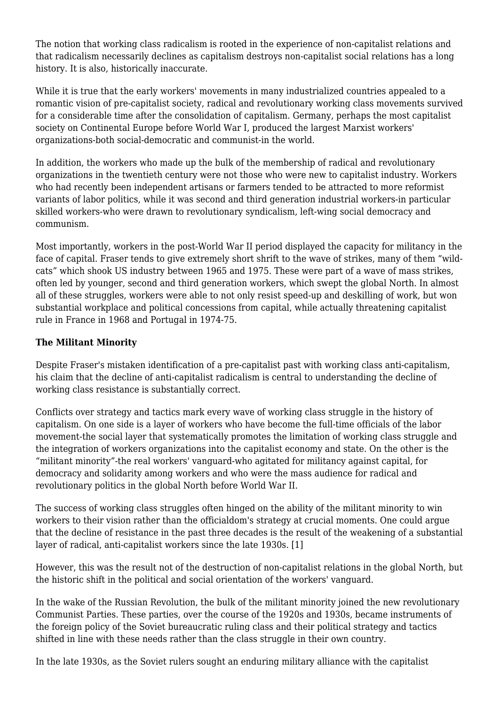The notion that working class radicalism is rooted in the experience of non-capitalist relations and that radicalism necessarily declines as capitalism destroys non-capitalist social relations has a long history. It is also, historically inaccurate.

While it is true that the early workers' movements in many industrialized countries appealed to a romantic vision of pre-capitalist society, radical and revolutionary working class movements survived for a considerable time after the consolidation of capitalism. Germany, perhaps the most capitalist society on Continental Europe before World War I, produced the largest Marxist workers' organizations-both social-democratic and communist-in the world.

In addition, the workers who made up the bulk of the membership of radical and revolutionary organizations in the twentieth century were not those who were new to capitalist industry. Workers who had recently been independent artisans or farmers tended to be attracted to more reformist variants of labor politics, while it was second and third generation industrial workers-in particular skilled workers-who were drawn to revolutionary syndicalism, left-wing social democracy and communism.

Most importantly, workers in the post-World War II period displayed the capacity for militancy in the face of capital. Fraser tends to give extremely short shrift to the wave of strikes, many of them "wildcats" which shook US industry between 1965 and 1975. These were part of a wave of mass strikes, often led by younger, second and third generation workers, which swept the global North. In almost all of these struggles, workers were able to not only resist speed-up and deskilling of work, but won substantial workplace and political concessions from capital, while actually threatening capitalist rule in France in 1968 and Portugal in 1974-75.

## **The Militant Minority**

Despite Fraser's mistaken identification of a pre-capitalist past with working class anti-capitalism, his claim that the decline of anti-capitalist radicalism is central to understanding the decline of working class resistance is substantially correct.

Conflicts over strategy and tactics mark every wave of working class struggle in the history of capitalism. On one side is a layer of workers who have become the full-time officials of the labor movement-the social layer that systematically promotes the limitation of working class struggle and the integration of workers organizations into the capitalist economy and state. On the other is the "militant minority"-the real workers' vanguard-who agitated for militancy against capital, for democracy and solidarity among workers and who were the mass audience for radical and revolutionary politics in the global North before World War II.

The success of working class struggles often hinged on the ability of the militant minority to win workers to their vision rather than the officialdom's strategy at crucial moments. One could argue that the decline of resistance in the past three decades is the result of the weakening of a substantial layer of radical, anti-capitalist workers since the late 1930s. [1]

However, this was the result not of the destruction of non-capitalist relations in the global North, but the historic shift in the political and social orientation of the workers' vanguard.

In the wake of the Russian Revolution, the bulk of the militant minority joined the new revolutionary Communist Parties. These parties, over the course of the 1920s and 1930s, became instruments of the foreign policy of the Soviet bureaucratic ruling class and their political strategy and tactics shifted in line with these needs rather than the class struggle in their own country.

In the late 1930s, as the Soviet rulers sought an enduring military alliance with the capitalist